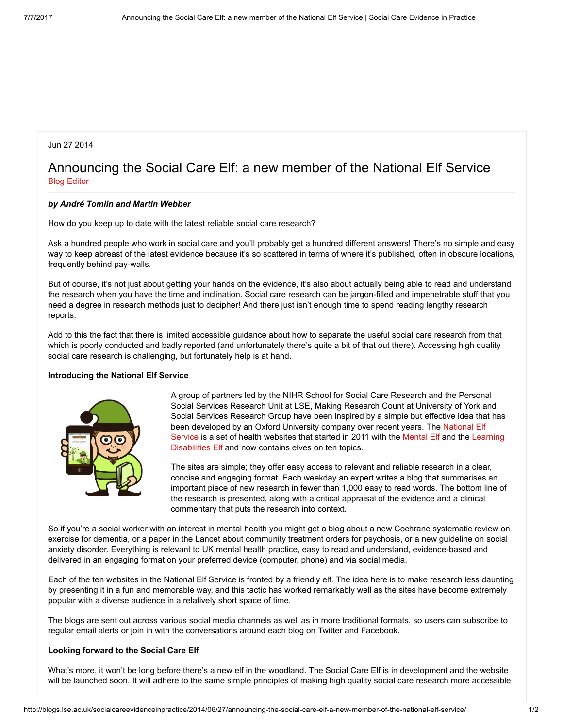## Jun 27 2014

# Announcing the Social Care Elf: a new member of the National Elf Service Blog [Editor](http://blogs.lse.ac.uk/socialcareevidenceinpractice/author/mehtaa/)

#### by André Tomlin and Martin Webber

How do you keep up to date with the latest reliable social care research?

Ask a hundred people who work in social care and you'll probably get a hundred different answers! There's no simple and easy way to keep abreast of the latest evidence because it's so scattered in terms of where it's published, often in obscure locations, frequently behind pay-walls.

But of course, it's not just about getting your hands on the evidence, it's also about actually being able to read and understand the research when you have the time and inclination. Social care research can be jargon-filled and impenetrable stuff that you need a degree in research methods just to decipher! And there just isn't enough time to spend reading lengthy research reports.

Add to this the fact that there is limited accessible guidance about how to separate the useful social care research from that which is poorly conducted and badly reported (and unfortunately there's quite a bit of that out there). Accessing high quality social care research is challenging, but fortunately help is at hand.

#### Introducing the National Elf Service



A group of partners led by the NIHR School for Social Care Research and the Personal Social Services Research Unit at LSE, Making Research Count at University of York and Social Services Research Group have been inspired by a simple but effective idea that has been [developed](http://www.nationalelfservice.net/about-the-national-elf-service/) by an Oxford University company over recent years. The National Elf Service is a set of health websites that started in 2011 with the [Mental](http://www.thementalelf.net/) Elf and the Learning [Disabilities](http://www.thelearningdisabilitieself.net/) Elf and now contains elves on ten topics.

The sites are simple; they offer easy access to relevant and reliable research in a clear, concise and engaging format. Each weekday an expert writes a blog that summarises an important piece of new research in fewer than 1,000 easy to read words. The bottom line of the research is presented, along with a critical appraisal of the evidence and a clinical commentary that puts the research into context.

So if you're a social worker with an interest in mental health you might get a blog about a new Cochrane systematic review on exercise for dementia, or a paper in the Lancet about community treatment orders for psychosis, or a new guideline on social anxiety disorder. Everything is relevant to UK mental health practice, easy to read and understand, evidence-based and delivered in an engaging format on your preferred device (computer, phone) and via social media.

Each of the ten websites in the National Elf Service is fronted by a friendly elf. The idea here is to make research less daunting by presenting it in a fun and memorable way, and this tactic has worked remarkably well as the sites have become extremely popular with a diverse audience in a relatively short space of time.

The blogs are sent out across various social media channels as well as in more traditional formats, so users can subscribe to regular email alerts or join in with the conversations around each blog on Twitter and Facebook.

#### Looking forward to the Social Care Elf

What's more, it won't be long before there's a new elf in the woodland. The Social Care Elf is in development and the website will be launched soon. It will adhere to the same simple principles of making high quality social care research more accessible